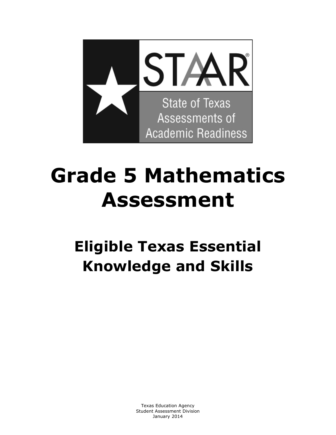

# **Grade 5 Mathematics Assessment**

# **Eligible Texas Essential Knowledge and Skills**

Texas Education Agency Student Assessment Division January 2014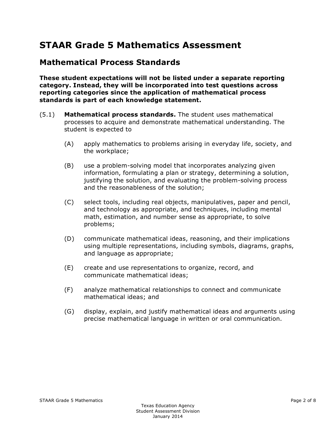# **STAAR Grade 5 Mathematics Assessment**

#### **Mathematical Process Standards**

**These student expectations will not be listed under a separate reporting category. Instead, they will be incorporated into test questions across reporting categories since the application of mathematical process standards is part of each knowledge statement.** 

- (5.1) **Mathematical process standards.** The student uses mathematical processes to acquire and demonstrate mathematical understanding. The student is expected to
	- (A) apply mathematics to problems arising in everyday life, society, and the workplace;
	- (B) use a problem-solving model that incorporates analyzing given information, formulating a plan or strategy, determining a solution, justifying the solution, and evaluating the problem-solving process and the reasonableness of the solution;
	- (C) select tools, including real objects, manipulatives, paper and pencil, and technology as appropriate, and techniques, including mental math, estimation, and number sense as appropriate, to solve problems;
	- (D) communicate mathematical ideas, reasoning, and their implications using multiple representations, including symbols, diagrams, graphs, and language as appropriate;
	- (E) create and use representations to organize, record, and communicate mathematical ideas;
	- (F) analyze mathematical relationships to connect and communicate mathematical ideas; and
	- (G) display, explain, and justify mathematical ideas and arguments using precise mathematical language in written or oral communication.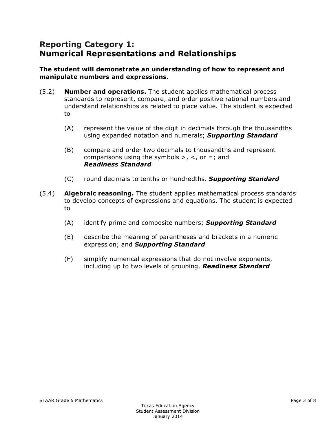## **Reporting Category 1: Numerical Representations and Relationships**

#### **The student will demonstrate an understanding of how to represent and manipulate numbers and expressions.**

- (5.2) **Number and operations.** The student applies mathematical process standards to represent, compare, and order positive rational numbers and understand relationships as related to place value. The student is expected to
	- (A) represent the value of the digit in decimals through the thousandths using expanded notation and numerals; *Supporting Standard*
	- (B) compare and order two decimals to thousandths and represent comparisons using the symbols  $>$ ,  $<$ , or  $=$ ; and *Readiness Standard*
	- (C) round decimals to tenths or hundredths. *Supporting Standard*
- (5.4) **Algebraic reasoning.** The student applies mathematical process standards to develop concepts of expressions and equations. The student is expected to
	- (A) identify prime and composite numbers; *Supporting Standard*
	- (E) describe the meaning of parentheses and brackets in a numeric expression; and *Supporting Standard*
	- (F) simplify numerical expressions that do not involve exponents, including up to two levels of grouping. *Readiness Standard*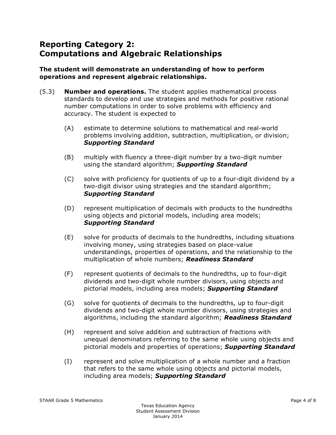# **Reporting Category 2: Computations and Algebraic Relationships**

#### **The student will demonstrate an understanding of how to perform operations and represent algebraic relationships.**

- (5.3) **Number and operations.** The student applies mathematical process standards to develop and use strategies and methods for positive rational number computations in order to solve problems with efficiency and accuracy. The student is expected to
	- (A) estimate to determine solutions to mathematical and real-world problems involving addition, subtraction, multiplication, or division; *Supporting Standard*
	- (B) multiply with fluency a three-digit number by a two-digit number using the standard algorithm; *Supporting Standard*
	- (C) solve with proficiency for quotients of up to a four-digit dividend by a two-digit divisor using strategies and the standard algorithm; *Supporting Standard*
	- (D) represent multiplication of decimals with products to the hundredths using objects and pictorial models, including area models; *Supporting Standard*
	- (E) solve for products of decimals to the hundredths, including situations involving money, using strategies based on place-value understandings, properties of operations, and the relationship to the multiplication of whole numbers; *Readiness Standard*
	- (F) represent quotients of decimals to the hundredths, up to four-digit dividends and two-digit whole number divisors, using objects and pictorial models, including area models; *Supporting Standard*
	- (G) solve for quotients of decimals to the hundredths, up to four-digit dividends and two-digit whole number divisors, using strategies and algorithms, including the standard algorithm; *Readiness Standard*
	- (H) represent and solve addition and subtraction of fractions with unequal denominators referring to the same whole using objects and pictorial models and properties of operations; *Supporting Standard*
	- (I) represent and solve multiplication of a whole number and a fraction that refers to the same whole using objects and pictorial models, including area models; *Supporting Standard*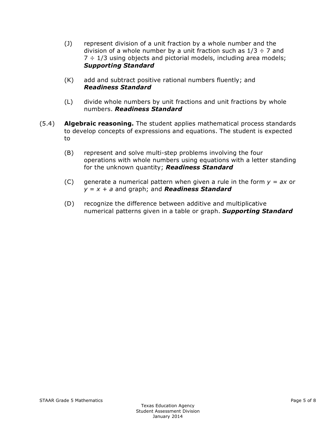- (J) represent division of a unit fraction by a whole number and the division of a whole number by a unit fraction such as  $1/3 \div 7$  and  $7 \div 1/3$  using objects and pictorial models, including area models; *Supporting Standard*
- (K) add and subtract positive rational numbers fluently; and *Readiness Standard*
- (L) divide whole numbers by unit fractions and unit fractions by whole numbers. *Readiness Standard*
- (5.4) **Algebraic reasoning.** The student applies mathematical process standards to develop concepts of expressions and equations. The student is expected to
	- (B) represent and solve multi-step problems involving the four operations with whole numbers using equations with a letter standing for the unknown quantity; *Readiness Standard*
	- (C) generate a numerical pattern when given a rule in the form *y* = *ax* or *y* = *x* + *a* and graph; and *Readiness Standard*
	- (D) recognize the difference between additive and multiplicative numerical patterns given in a table or graph. *Supporting Standard*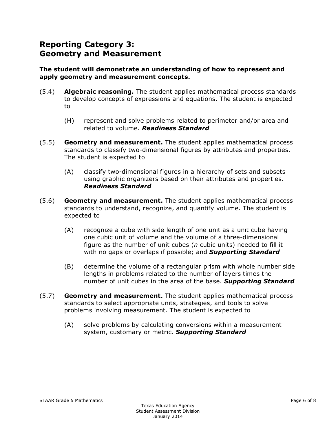## **Reporting Category 3: Geometry and Measurement**

#### **The student will demonstrate an understanding of how to represent and apply geometry and measurement concepts.**

- (5.4) **Algebraic reasoning.** The student applies mathematical process standards to develop concepts of expressions and equations. The student is expected to
	- (H) represent and solve problems related to perimeter and/or area and related to volume. *Readiness Standard*
- (5.5) **Geometry and measurement.** The student applies mathematical process standards to classify two-dimensional figures by attributes and properties. The student is expected to
	- (A) classify two-dimensional figures in a hierarchy of sets and subsets using graphic organizers based on their attributes and properties. *Readiness Standard*
- (5.6) **Geometry and measurement.** The student applies mathematical process standards to understand, recognize, and quantify volume. The student is expected to
	- (A) recognize a cube with side length of one unit as a unit cube having one cubic unit of volume and the volume of a three-dimensional figure as the number of unit cubes (*n* cubic units) needed to fill it with no gaps or overlaps if possible; and *Supporting Standard*
	- (B) determine the volume of a rectangular prism with whole number side lengths in problems related to the number of layers times the number of unit cubes in the area of the base. *Supporting Standard*
- (5.7) **Geometry and measurement.** The student applies mathematical process standards to select appropriate units, strategies, and tools to solve problems involving measurement. The student is expected to
	- (A) solve problems by calculating conversions within a measurement system, customary or metric. *Supporting Standard*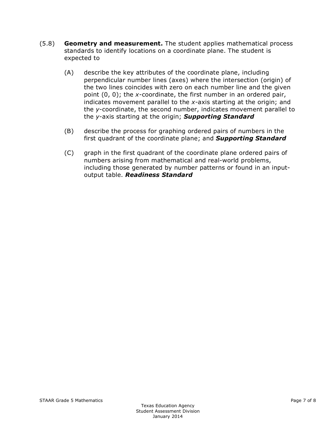- (5.8) **Geometry and measurement.** The student applies mathematical process standards to identify locations on a coordinate plane. The student is expected to
	- (A) describe the key attributes of the coordinate plane, including perpendicular number lines (axes) where the intersection (origin) of the two lines coincides with zero on each number line and the given point (0, 0); the *x*-coordinate, the first number in an ordered pair, indicates movement parallel to the *x*-axis starting at the origin; and the *y*-coordinate, the second number, indicates movement parallel to the *y*-axis starting at the origin; *Supporting Standard*
	- (B) describe the process for graphing ordered pairs of numbers in the first quadrant of the coordinate plane; and *Supporting Standard*
	- (C) graph in the first quadrant of the coordinate plane ordered pairs of numbers arising from mathematical and real-world problems, including those generated by number patterns or found in an inputoutput table. *Readiness Standard*